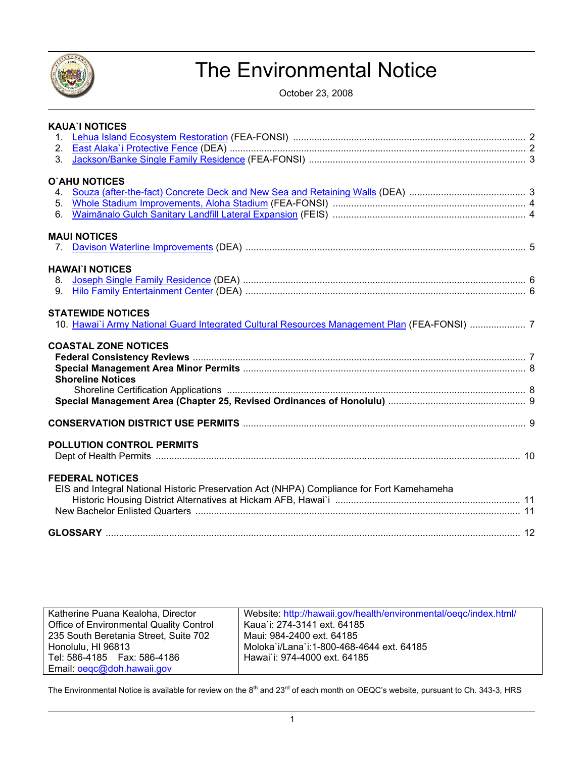

# The Environmental Notice

October 23, 2008

| <b>KAUA'I NOTICES</b>                                                                        |  |
|----------------------------------------------------------------------------------------------|--|
|                                                                                              |  |
|                                                                                              |  |
| 3 <sub>1</sub>                                                                               |  |
| O'AHU NOTICES                                                                                |  |
|                                                                                              |  |
| 5.                                                                                           |  |
| 6.                                                                                           |  |
| <b>MAUI NOTICES</b>                                                                          |  |
| 7.                                                                                           |  |
|                                                                                              |  |
| <b>HAWAI'I NOTICES</b>                                                                       |  |
| 8.<br>9.                                                                                     |  |
|                                                                                              |  |
| <b>STATEWIDE NOTICES</b>                                                                     |  |
| 10. Hawai'i Army National Guard Integrated Cultural Resources Management Plan (FEA-FONSI)  7 |  |
| <b>COASTAL ZONE NOTICES</b><br><b>Shoreline Notices</b>                                      |  |
|                                                                                              |  |
| <b>POLLUTION CONTROL PERMITS</b>                                                             |  |
|                                                                                              |  |
| <b>FEDERAL NOTICES</b>                                                                       |  |
| EIS and Integral National Historic Preservation Act (NHPA) Compliance for Fort Kamehameha    |  |
|                                                                                              |  |
|                                                                                              |  |
|                                                                                              |  |

| Katherine Puana Kealoha, Director       | Website: http://hawaii.gov/health/environmental/oegc/index.html/ |
|-----------------------------------------|------------------------------------------------------------------|
| Office of Environmental Quality Control | Kaua`i: 274-3141 ext. 64185                                      |
| 235 South Beretania Street, Suite 702   | Maui: 984-2400 ext. 64185                                        |
| Honolulu, HI 96813                      | Moloka`i/Lana`i:1-800-468-4644 ext. 64185                        |
| Tel: 586-4185    Fax: 586-4186          | Hawai`i: 974-4000 ext. 64185                                     |
| Email: oeqc@doh.hawaii.gov              |                                                                  |

The Environmental Notice is available for review on the 8<sup>th</sup> and 23<sup>rd</sup> of each month on OEQC's website, pursuant to Ch. 343-3, HRS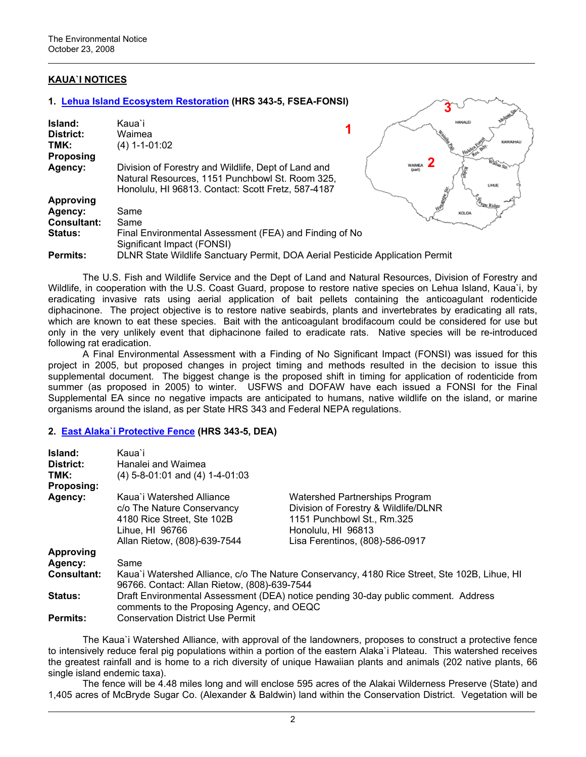## **KAUA`I NOTICES**

#### **1. [Lehua Island Ecosystem Restoration](http://oeqc.doh.hawaii.gov/Shared%20Documents/EA_and_EIS_Online_Library/Kauai/2000s/2008-10-23-KA-FSEA-Lehua-Island-Ecosystem-Restoration.pdf) (HRS 343-5, FSEA-FONSI)**

| Island:            | Kaua`i                                                                                                                                                       |                         | HANALEI |
|--------------------|--------------------------------------------------------------------------------------------------------------------------------------------------------------|-------------------------|---------|
| District:          | Waimea                                                                                                                                                       |                         |         |
| TMK:               | $(4) 1 - 1 - 01:02$                                                                                                                                          |                         |         |
| <b>Proposing</b>   |                                                                                                                                                              |                         |         |
| Agency:            | Division of Forestry and Wildlife, Dept of Land and<br>Natural Resources, 1151 Punchbowl St. Room 325,<br>Honolulu, HI 96813. Contact: Scott Fretz, 587-4187 | <b>WAIMEA</b><br>(part) |         |
| <b>Approving</b>   |                                                                                                                                                              |                         |         |
| Agency:            | Same                                                                                                                                                         |                         | KOLOA   |
| <b>Consultant:</b> | Same                                                                                                                                                         |                         |         |
| <b>Status:</b>     | Final Environmental Assessment (FEA) and Finding of No<br>Significant Impact (FONSI)                                                                         |                         |         |
| <b>Permits:</b>    | DLNR State Wildlife Sanctuary Permit, DOA Aerial Pesticide Application Permit                                                                                |                         |         |

The U.S. Fish and Wildlife Service and the Dept of Land and Natural Resources, Division of Forestry and Wildlife, in cooperation with the U.S. Coast Guard, propose to restore native species on Lehua Island, Kaua`i, by eradicating invasive rats using aerial application of bait pellets containing the anticoagulant rodenticide diphacinone. The project objective is to restore native seabirds, plants and invertebrates by eradicating all rats, which are known to eat these species. Bait with the anticoagulant brodifacoum could be considered for use but only in the very unlikely event that diphacinone failed to eradicate rats. Native species will be re-introduced following rat eradication.

**3** 

A Final Environmental Assessment with a Finding of No Significant Impact (FONSI) was issued for this project in 2005, but proposed changes in project timing and methods resulted in the decision to issue this supplemental document. The biggest change is the proposed shift in timing for application of rodenticide from summer (as proposed in 2005) to winter. USFWS and DOFAW have each issued a FONSI for the Final Supplemental EA since no negative impacts are anticipated to humans, native wildlife on the island, or marine organisms around the island, as per State HRS 343 and Federal NEPA regulations.

#### **2. [East Alaka`i Protective Fence](http://oeqc.doh.hawaii.gov/Shared%20Documents/EA_and_EIS_Online_Library/Kauai/2000s/2008-10-23-KA-DEA-East-Alakai-Protective-Fence.pdf) (HRS 343-5, DEA)**

| Island:<br>District:<br>TMK:<br>Proposing: | Kaua`i<br>Hanalei and Waimea<br>$(4)$ 5-8-01:01 and $(4)$ 1-4-01:03                                                                          |                                                                                                                                                               |
|--------------------------------------------|----------------------------------------------------------------------------------------------------------------------------------------------|---------------------------------------------------------------------------------------------------------------------------------------------------------------|
| Agency:                                    | Kaua`i Watershed Alliance<br>c/o The Nature Conservancy<br>4180 Rice Street, Ste 102B<br>Lihue, HI 96766<br>Allan Rietow, (808)-639-7544     | Watershed Partnerships Program<br>Division of Forestry & Wildlife/DLNR<br>1151 Punchbowl St., Rm.325<br>Honolulu, HI 96813<br>Lisa Ferentinos, (808)-586-0917 |
| <b>Approving</b>                           |                                                                                                                                              |                                                                                                                                                               |
| Agency:                                    | Same                                                                                                                                         |                                                                                                                                                               |
| <b>Consultant:</b>                         | Kaua'i Watershed Alliance, c/o The Nature Conservancy, 4180 Rice Street, Ste 102B, Lihue, HI<br>96766. Contact: Allan Rietow, (808)-639-7544 |                                                                                                                                                               |
| Status:                                    | Draft Environmental Assessment (DEA) notice pending 30-day public comment. Address<br>comments to the Proposing Agency, and OEQC             |                                                                                                                                                               |
| <b>Permits:</b>                            | <b>Conservation District Use Permit</b>                                                                                                      |                                                                                                                                                               |

The Kaua`i Watershed Alliance, with approval of the landowners, proposes to construct a protective fence to intensively reduce feral pig populations within a portion of the eastern Alaka`i Plateau. This watershed receives the greatest rainfall and is home to a rich diversity of unique Hawaiian plants and animals (202 native plants, 66 single island endemic taxa).

The fence will be 4.48 miles long and will enclose 595 acres of the Alakai Wilderness Preserve (State) and 1,405 acres of McBryde Sugar Co. (Alexander & Baldwin) land within the Conservation District. Vegetation will be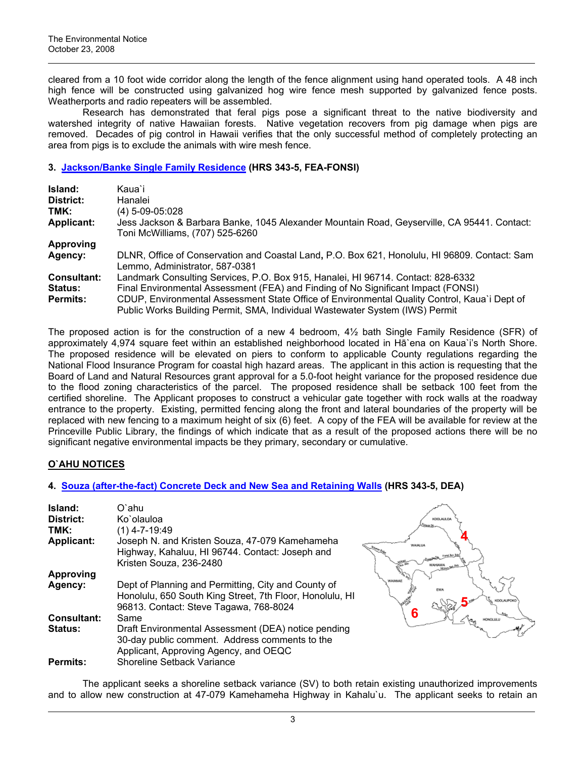cleared from a 10 foot wide corridor along the length of the fence alignment using hand operated tools. A 48 inch high fence will be constructed using galvanized hog wire fence mesh supported by galvanized fence posts. Weatherports and radio repeaters will be assembled.

Research has demonstrated that feral pigs pose a significant threat to the native biodiversity and watershed integrity of native Hawaiian forests. Native vegetation recovers from pig damage when pigs are removed. Decades of pig control in Hawaii verifies that the only successful method of completely protecting an area from pigs is to exclude the animals with wire mesh fence.

## **3. [Jackson/Banke Single Family Residence](http://oeqc.doh.hawaii.gov/Shared%20Documents/EA_and_EIS_Online_Library/Kauai/2000s/2008-10-23-KA-FEA-Jackson-Banke-Residence.pdf) (HRS 343-5, FEA-FONSI)**

| Island:            | Kaua`i                                                                                                                          |
|--------------------|---------------------------------------------------------------------------------------------------------------------------------|
| District:          | Hanalei                                                                                                                         |
| TMK:               | (4) 5-09-05:028                                                                                                                 |
| <b>Applicant:</b>  | Jess Jackson & Barbara Banke, 1045 Alexander Mountain Road, Geyserville, CA 95441. Contact:<br>Toni McWilliams, (707) 525-6260  |
| <b>Approving</b>   |                                                                                                                                 |
| Agency:            | DLNR, Office of Conservation and Coastal Land, P.O. Box 621, Honolulu, HI 96809. Contact: Sam<br>Lemmo, Administrator, 587-0381 |
| <b>Consultant:</b> | Landmark Consulting Services, P.O. Box 915, Hanalei, HI 96714. Contact: 828-6332                                                |
| <b>Status:</b>     | Final Environmental Assessment (FEA) and Finding of No Significant Impact (FONSI)                                               |
| <b>Permits:</b>    | CDUP, Environmental Assessment State Office of Environmental Quality Control, Kaua'i Dept of                                    |
|                    | Public Works Building Permit, SMA, Individual Wastewater System (IWS) Permit                                                    |

The proposed action is for the construction of a new 4 bedroom, 4½ bath Single Family Residence (SFR) of approximately 4,974 square feet within an established neighborhood located in Hā`ena on Kaua`i's North Shore. The proposed residence will be elevated on piers to conform to applicable County regulations regarding the National Flood Insurance Program for coastal high hazard areas. The applicant in this action is requesting that the Board of Land and Natural Resources grant approval for a 5.0-foot height variance for the proposed residence due to the flood zoning characteristics of the parcel. The proposed residence shall be setback 100 feet from the certified shoreline. The Applicant proposes to construct a vehicular gate together with rock walls at the roadway entrance to the property. Existing, permitted fencing along the front and lateral boundaries of the property will be replaced with new fencing to a maximum height of six (6) feet. A copy of the FEA will be available for review at the Princeville Public Library, the findings of which indicate that as a result of the proposed actions there will be no significant negative environmental impacts be they primary, secondary or cumulative.

## **O`AHU NOTICES**

## **4. [Souza \(after-the-fact\) Concrete Deck and New Sea and Retaining Walls](http://oeqc.doh.hawaii.gov/Shared%20Documents/EA_and_EIS_Online_Library/Oahu/2000s/2008-10-23-OA-DEA-Souza-Shoreline-Setback-Variance.pdf) (HRS 343-5, DEA)**

| Island:<br>District:      | O`ahu<br>Ko`olauloa                                                                                                                                       |  |
|---------------------------|-----------------------------------------------------------------------------------------------------------------------------------------------------------|--|
| TMK:<br><b>Applicant:</b> | $(1)$ 4-7-19:49<br>Joseph N. and Kristen Souza, 47-079 Kamehameha<br>Highway, Kahaluu, HI 96744. Contact: Joseph and<br>Kristen Souza, 236-2480           |  |
| <b>Approving</b>          |                                                                                                                                                           |  |
| Agency:                   | Dept of Planning and Permitting, City and County of<br>Honolulu, 650 South King Street, 7th Floor, Honolulu, HI<br>96813. Contact: Steve Tagawa, 768-8024 |  |
| <b>Consultant:</b>        | Same                                                                                                                                                      |  |
| <b>Status:</b>            | Draft Environmental Assessment (DEA) notice pending<br>30-day public comment. Address comments to the<br>Applicant, Approving Agency, and OEQC            |  |
| <b>Permits:</b>           | <b>Shoreline Setback Variance</b>                                                                                                                         |  |



The applicant seeks a shoreline setback variance (SV) to both retain existing unauthorized improvements and to allow new construction at 47-079 Kamehameha Highway in Kahalu`u. The applicant seeks to retain an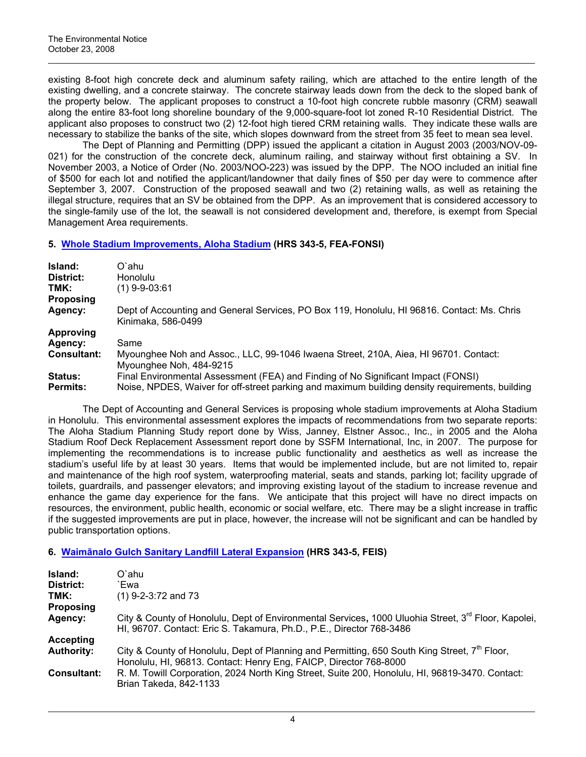existing 8-foot high concrete deck and aluminum safety railing, which are attached to the entire length of the existing dwelling, and a concrete stairway. The concrete stairway leads down from the deck to the sloped bank of the property below. The applicant proposes to construct a 10-foot high concrete rubble masonry (CRM) seawall along the entire 83-foot long shoreline boundary of the 9,000-square-foot lot zoned R-10 Residential District. The applicant also proposes to construct two (2) 12-foot high tiered CRM retaining walls. They indicate these walls are necessary to stabilize the banks of the site, which slopes downward from the street from 35 feet to mean sea level.

 The Dept of Planning and Permitting (DPP) issued the applicant a citation in August 2003 (2003/NOV-09- 021) for the construction of the concrete deck, aluminum railing, and stairway without first obtaining a SV. In November 2003, a Notice of Order (No. 2003/NOO-223) was issued by the DPP. The NOO included an initial fine of \$500 for each lot and notified the applicant/landowner that daily fines of \$50 per day were to commence after September 3, 2007. Construction of the proposed seawall and two (2) retaining walls, as well as retaining the illegal structure, requires that an SV be obtained from the DPP. As an improvement that is considered accessory to the single-family use of the lot, the seawall is not considered development and, therefore, is exempt from Special Management Area requirements.

## **5. [Whole Stadium Improvements, Aloha Stadium](http://oeqc.doh.hawaii.gov/Shared%20Documents/EA_and_EIS_Online_Library/Oahu/2000s/2008-10-23-OA-FEA-Aloha-Stadium-Improvements.pdf) (HRS 343-5, FEA-FONSI)**

| Island:<br>District:<br>TMK:<br>Proposing | O'ahu<br>Honolulu<br>(1) 9-9-03:61                                                                              |
|-------------------------------------------|-----------------------------------------------------------------------------------------------------------------|
| Agency:                                   | Dept of Accounting and General Services, PO Box 119, Honolulu, HI 96816. Contact: Ms. Chris                     |
| Approving                                 | Kinimaka, 586-0499                                                                                              |
| Agency:                                   | Same                                                                                                            |
| <b>Consultant:</b>                        | Myounghee Noh and Assoc., LLC, 99-1046 Iwaena Street, 210A, Aiea, HI 96701. Contact:<br>Myounghee Noh, 484-9215 |
| <b>Status:</b>                            | Final Environmental Assessment (FEA) and Finding of No Significant Impact (FONSI)                               |
| <b>Permits:</b>                           | Noise, NPDES, Waiver for off-street parking and maximum building density requirements, building                 |

 The Dept of Accounting and General Services is proposing whole stadium improvements at Aloha Stadium in Honolulu. This environmental assessment explores the impacts of recommendations from two separate reports: The Aloha Stadium Planning Study report done by Wiss, Janney, Elstner Assoc., Inc., in 2005 and the Aloha Stadium Roof Deck Replacement Assessment report done by SSFM International, Inc, in 2007. The purpose for implementing the recommendations is to increase public functionality and aesthetics as well as increase the stadium's useful life by at least 30 years. Items that would be implemented include, but are not limited to, repair and maintenance of the high roof system, waterproofing material, seats and stands, parking lot; facility upgrade of toilets, guardrails, and passenger elevators; and improving existing layout of the stadium to increase revenue and enhance the game day experience for the fans. We anticipate that this project will have no direct impacts on resources, the environment, public health, economic or social welfare, etc. There may be a slight increase in traffic if the suggested improvements are put in place, however, the increase will not be significant and can be handled by public transportation options.

## **6. Waimā[nalo Gulch Sanitary Landfill Lateral Expansion](http://oeqc.doh.hawaii.gov/Shared%20Documents/EA_and_EIS_Online_Library/Oahu/2000s/2008-10-23-OA-FEIS-Waimanalo-Gulch-Sanitary-Landfill-Expansion-Vol-1.pdf) (HRS 343-5, FEIS)**

| Island:            | O`ahu                                                                                                                                                                                   |
|--------------------|-----------------------------------------------------------------------------------------------------------------------------------------------------------------------------------------|
| District:          | `Ewa                                                                                                                                                                                    |
| TMK:               | $(1)$ 9-2-3:72 and 73                                                                                                                                                                   |
| <b>Proposing</b>   |                                                                                                                                                                                         |
| Agency:            | City & County of Honolulu, Dept of Environmental Services, 1000 Uluohia Street, 3 <sup>rd</sup> Floor, Kapolei,<br>HI, 96707. Contact: Eric S. Takamura, Ph.D., P.E., Director 768-3486 |
| <b>Accepting</b>   |                                                                                                                                                                                         |
| <b>Authority:</b>  | City & County of Honolulu, Dept of Planning and Permitting, 650 South King Street, 7 <sup>th</sup> Floor,<br>Honolulu, HI, 96813. Contact: Henry Eng, FAICP, Director 768-8000          |
| <b>Consultant:</b> | R. M. Towill Corporation, 2024 North King Street, Suite 200, Honolulu, HI, 96819-3470. Contact:<br>Brian Takeda, 842-1133                                                               |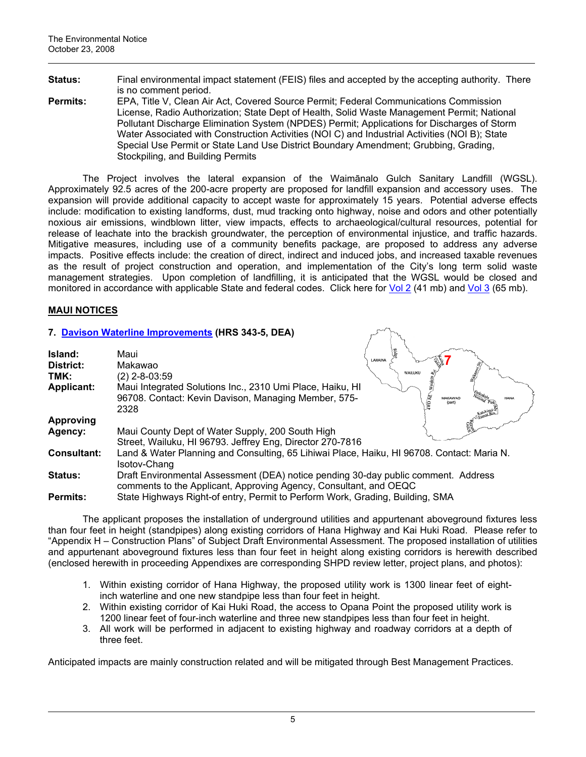- **Status:** Final environmental impact statement (FEIS) files and accepted by the accepting authority. There is no comment period.
- **Permits:** EPA, Title V, Clean Air Act, Covered Source Permit; Federal Communications Commission License, Radio Authorization; State Dept of Health, Solid Waste Management Permit; National Pollutant Discharge Elimination System (NPDES) Permit; Applications for Discharges of Storm Water Associated with Construction Activities (NOI C) and Industrial Activities (NOI B); State Special Use Permit or State Land Use District Boundary Amendment; Grubbing, Grading, Stockpiling, and Building Permits

The Project involves the lateral expansion of the Waimānalo Gulch Sanitary Landfill (WGSL). Approximately 92.5 acres of the 200-acre property are proposed for landfill expansion and accessory uses. The expansion will provide additional capacity to accept waste for approximately 15 years. Potential adverse effects include: modification to existing landforms, dust, mud tracking onto highway, noise and odors and other potentially noxious air emissions, windblown litter, view impacts, effects to archaeological/cultural resources, potential for release of leachate into the brackish groundwater, the perception of environmental injustice, and traffic hazards. Mitigative measures, including use of a community benefits package, are proposed to address any adverse impacts. Positive effects include: the creation of direct, indirect and induced jobs, and increased taxable revenues as the result of project construction and operation, and implementation of the City's long term solid waste management strategies. Upon completion of landfilling, it is anticipated that the WGSL would be closed and monitored in accordance with applicable State and federal codes. Click here for [Vol 2](http://oeqc.doh.hawaii.gov/Shared%20Documents/EA_and_EIS_Online_Library/Oahu/2000s/2008-10-23-OA-FEIS-Waimanalo-Gulch-Sanitary-Landfill-Expansion-Vol-2.pdf) (41 mb) and [Vol 3](http://oeqc.doh.hawaii.gov/Shared%20Documents/EA_and_EIS_Online_Library/Oahu/2000s/2008-10-23-OA-FEIS-Waimanalo-Gulch-Sanitary-Landfill-Expansion-Vol-3.pdf) (65 mb).

## **MAUI NOTICES**

## **7. [Davison Waterline Improvements](http://oeqc.doh.hawaii.gov/Shared%20Documents/EA_and_EIS_Online_Library/Maui/2000s/2008-10-23-MA-DEA-Davison-Waterline-Improvements.pdf) (HRS 343-5, DEA)**

| Island:           | Maui                                                                                                       |  |
|-------------------|------------------------------------------------------------------------------------------------------------|--|
| District:         | LAHAINA<br>Makawao                                                                                         |  |
| TMK:              | <b>WAILUKL</b><br>$(2)$ 2-8-03:59                                                                          |  |
| <b>Applicant:</b> | Maui Integrated Solutions Inc., 2310 Umi Place, Haiku, HI                                                  |  |
|                   | 96708. Contact: Kevin Davison, Managing Member, 575-<br>MAKAWAC                                            |  |
|                   | 2328                                                                                                       |  |
| <b>Approving</b>  |                                                                                                            |  |
| Agency:           | Maui County Dept of Water Supply, 200 South High                                                           |  |
|                   | Street, Wailuku, HI 96793. Jeffrey Eng, Director 270-7816                                                  |  |
| Consultant:       | Land & Water Planning and Consulting, 65 Lihiwai Place, Haiku, HI 96708. Contact: Maria N.<br>Isotov-Chang |  |
| <b>Status:</b>    | Draft Environmental Assessment (DEA) notice pending 30-day public comment. Address                         |  |
|                   | comments to the Applicant, Approving Agency, Consultant, and OEQC                                          |  |
| <b>Permits:</b>   | State Highways Right-of entry, Permit to Perform Work, Grading, Building, SMA                              |  |

The applicant proposes the installation of underground utilities and appurtenant aboveground fixtures less than four feet in height (standpipes) along existing corridors of Hana Highway and Kai Huki Road. Please refer to "Appendix H – Construction Plans" of Subject Draft Environmental Assessment. The proposed installation of utilities and appurtenant aboveground fixtures less than four feet in height along existing corridors is herewith described (enclosed herewith in proceeding Appendixes are corresponding SHPD review letter, project plans, and photos):

- 1. Within existing corridor of Hana Highway, the proposed utility work is 1300 linear feet of eightinch waterline and one new standpipe less than four feet in height.
- 2. Within existing corridor of Kai Huki Road, the access to Opana Point the proposed utility work is 1200 linear feet of four-inch waterline and three new standpipes less than four feet in height.
- 3. All work will be performed in adjacent to existing highway and roadway corridors at a depth of three feet.

Anticipated impacts are mainly construction related and will be mitigated through Best Management Practices.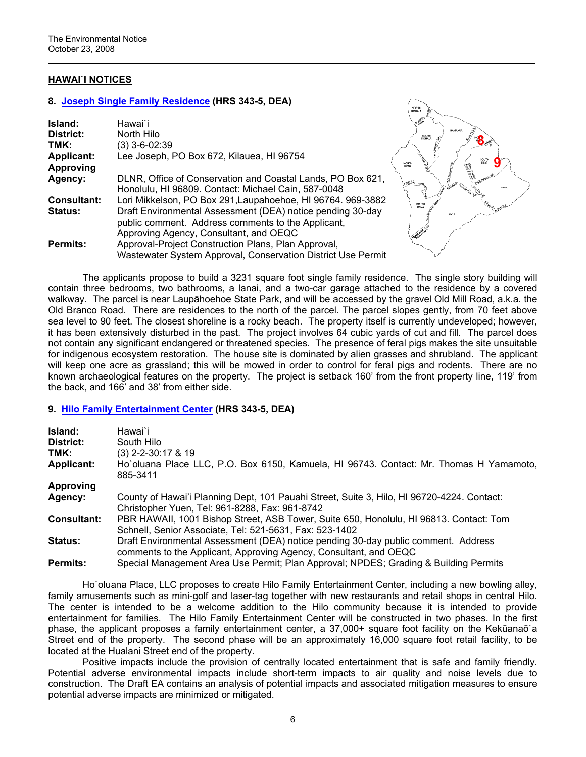## **HAWAI`I NOTICES**

#### **8. [Joseph Single Family Residence](http://oeqc.doh.hawaii.gov/Shared%20Documents/EA_and_EIS_Online_Library/Hawaii/2000s/2008-10-23-HA-DEA-Joseph-Residence.pdf) (HRS 343-5, DEA)**

| Island:            | Hawai`i                                                      |
|--------------------|--------------------------------------------------------------|
| District:          | North Hilo                                                   |
| TMK:               | $(3)$ 3-6-02:39                                              |
| <b>Applicant:</b>  | Lee Joseph, PO Box 672, Kilauea, HI 96754                    |
| <b>Approving</b>   |                                                              |
| Agency:            | DLNR, Office of Conservation and Coastal Lands, PO Box 621,  |
|                    | Honolulu, HI 96809. Contact: Michael Cain, 587-0048          |
| <b>Consultant:</b> | Lori Mikkelson, PO Box 291, Laupahoehoe, HI 96764. 969-3882  |
| <b>Status:</b>     | Draft Environmental Assessment (DEA) notice pending 30-day   |
|                    | public comment. Address comments to the Applicant,           |
|                    | Approving Agency, Consultant, and OEQC                       |
| <b>Permits:</b>    | Approval-Project Construction Plans, Plan Approval,          |
|                    | Wastewater System Approval, Conservation District Use Permit |



The applicants propose to build a 3231 square foot single family residence. The single story building will contain three bedrooms, two bathrooms, a lanai, and a two-car garage attached to the residence by a covered walkway. The parcel is near Laupāhoehoe State Park, and will be accessed by the gravel Old Mill Road, a.k.a. the Old Branco Road. There are residences to the north of the parcel. The parcel slopes gently, from 70 feet above sea level to 90 feet. The closest shoreline is a rocky beach. The property itself is currently undeveloped; however, it has been extensively disturbed in the past. The project involves 64 cubic yards of cut and fill. The parcel does not contain any significant endangered or threatened species. The presence of feral pigs makes the site unsuitable for indigenous ecosystem restoration. The house site is dominated by alien grasses and shrubland. The applicant will keep one acre as grassland; this will be mowed in order to control for feral pigs and rodents. There are no known archaeological features on the property. The project is setback 160' from the front property line, 119' from the back, and 166' and 38' from either side.

#### **9. [Hilo Family Entertainment Center](http://oeqc.doh.hawaii.gov/Shared%20Documents/EA_and_EIS_Online_Library/Hawaii/2000s/2008-10-23-HA-DEA-Hilo-Family-Entertainment-Center.pdf) (HRS 343-5, DEA)**

| Island:            | Hawai`i                                                                                            |
|--------------------|----------------------------------------------------------------------------------------------------|
| District:          | South Hilo                                                                                         |
| TMK:               | (3) 2-2-30:17 & 19                                                                                 |
| <b>Applicant:</b>  | Ho`oluana Place LLC, P.O. Box 6150, Kamuela, HI 96743. Contact: Mr. Thomas H Yamamoto,<br>885-3411 |
| <b>Approving</b>   |                                                                                                    |
| Agency:            | County of Hawai'i Planning Dept, 101 Pauahi Street, Suite 3, Hilo, HI 96720-4224. Contact:         |
|                    | Christopher Yuen, Tel: 961-8288, Fax: 961-8742                                                     |
| <b>Consultant:</b> | PBR HAWAII, 1001 Bishop Street, ASB Tower, Suite 650, Honolulu, HI 96813. Contact: Tom             |
|                    | Schnell, Senior Associate, Tel: 521-5631, Fax: 523-1402                                            |
| Status:            | Draft Environmental Assessment (DEA) notice pending 30-day public comment. Address                 |
|                    | comments to the Applicant, Approving Agency, Consultant, and OEQC                                  |
| <b>Permits:</b>    | Special Management Area Use Permit; Plan Approval; NPDES; Grading & Building Permits               |

Ho`oluana Place, LLC proposes to create Hilo Family Entertainment Center, including a new bowling alley, family amusements such as mini-golf and laser-tag together with new restaurants and retail shops in central Hilo. The center is intended to be a welcome addition to the Hilo community because it is intended to provide entertainment for families. The Hilo Family Entertainment Center will be constructed in two phases. In the first phase, the applicant proposes a family entertainment center, a 37,000+ square foot facility on the Kekūanaō`a Street end of the property. The second phase will be an approximately 16,000 square foot retail facility, to be located at the Hualani Street end of the property.

Positive impacts include the provision of centrally located entertainment that is safe and family friendly. Potential adverse environmental impacts include short-term impacts to air quality and noise levels due to construction. The Draft EA contains an analysis of potential impacts and associated mitigation measures to ensure potential adverse impacts are minimized or mitigated.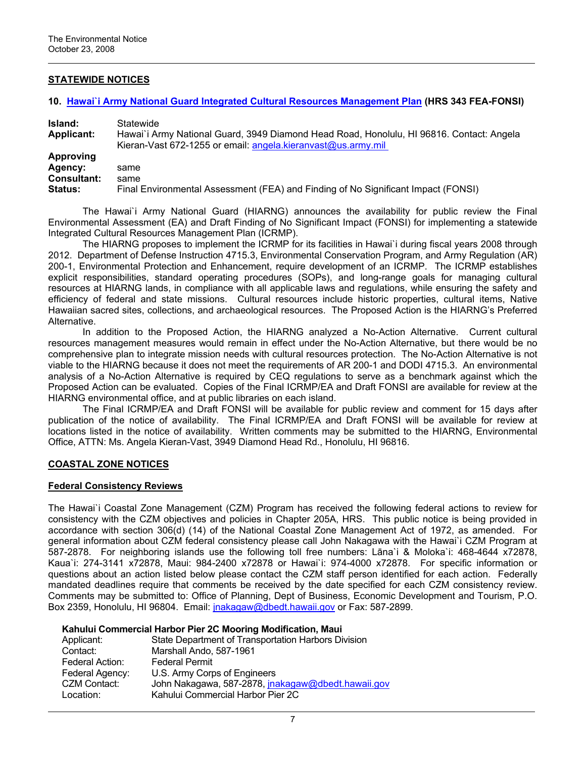## **STATEWIDE NOTICES**

#### **10. [Hawai`i Army National Guard Integrated Cultural Resources Management Plan](http://oeqc.doh.hawaii.gov/Shared%20Documents/EA_and_EIS_Online_Library/Statewide/2000s/2008-10-23-ST-FEA-Integrated-Cultural-Resources-Man-Plan.pdf) (HRS 343 FEA-FONSI)**

| Island:            | Statewide                                                                                |
|--------------------|------------------------------------------------------------------------------------------|
| <b>Applicant:</b>  | Hawai'i Army National Guard, 3949 Diamond Head Road, Honolulu, HI 96816. Contact: Angela |
|                    | Kieran-Vast 672-1255 or email: angela.kieranvast@us.army.mil                             |
| <b>Approving</b>   |                                                                                          |
| Agency:            | same                                                                                     |
| <b>Consultant:</b> | same                                                                                     |
| <b>Status:</b>     | Final Environmental Assessment (FEA) and Finding of No Significant Impact (FONSI)        |

The Hawai`i Army National Guard (HIARNG) announces the availability for public review the Final Environmental Assessment (EA) and Draft Finding of No Significant Impact (FONSI) for implementing a statewide Integrated Cultural Resources Management Plan (ICRMP).

The HIARNG proposes to implement the ICRMP for its facilities in Hawai`i during fiscal years 2008 through 2012. Department of Defense Instruction 4715.3, Environmental Conservation Program, and Army Regulation (AR) 200-1, Environmental Protection and Enhancement, require development of an ICRMP. The ICRMP establishes explicit responsibilities, standard operating procedures (SOPs), and long-range goals for managing cultural resources at HIARNG lands, in compliance with all applicable laws and regulations, while ensuring the safety and efficiency of federal and state missions. Cultural resources include historic properties, cultural items, Native Hawaiian sacred sites, collections, and archaeological resources. The Proposed Action is the HIARNG's Preferred Alternative.

In addition to the Proposed Action, the HIARNG analyzed a No-Action Alternative. Current cultural resources management measures would remain in effect under the No-Action Alternative, but there would be no comprehensive plan to integrate mission needs with cultural resources protection. The No-Action Alternative is not viable to the HIARNG because it does not meet the requirements of AR 200-1 and DODI 4715.3. An environmental analysis of a No-Action Alternative is required by CEQ regulations to serve as a benchmark against which the Proposed Action can be evaluated. Copies of the Final ICRMP/EA and Draft FONSI are available for review at the HIARNG environmental office, and at public libraries on each island.

The Final ICRMP/EA and Draft FONSI will be available for public review and comment for 15 days after publication of the notice of availability. The Final ICRMP/EA and Draft FONSI will be available for review at locations listed in the notice of availability. Written comments may be submitted to the HIARNG, Environmental Office, ATTN: Ms. Angela Kieran-Vast, 3949 Diamond Head Rd., Honolulu, HI 96816.

## **COASTAL ZONE NOTICES**

#### **Federal Consistency Reviews**

The Hawai`i Coastal Zone Management (CZM) Program has received the following federal actions to review for consistency with the CZM objectives and policies in Chapter 205A, HRS. This public notice is being provided in accordance with section 306(d) (14) of the National Coastal Zone Management Act of 1972, as amended. For general information about CZM federal consistency please call John Nakagawa with the Hawai`i CZM Program at 587-2878. For neighboring islands use the following toll free numbers: Lāna`i & Moloka`i: 468-4644 x72878, Kaua`i: 274-3141 x72878, Maui: 984-2400 x72878 or Hawai`i: 974-4000 x72878. For specific information or questions about an action listed below please contact the CZM staff person identified for each action. Federally mandated deadlines require that comments be received by the date specified for each CZM consistency review. Comments may be submitted to: Office of Planning, Dept of Business, Economic Development and Tourism, P.O. Box 2359, Honolulu, HI 96804. Email: [jnakagaw@dbedt.hawaii.gov](mailto:jnakagaw@dbedt.hawaii.gov) or Fax: 587-2899.

**Kahului Commercial Harbor Pier 2C Mooring Modification, Maui** 

| Applicant:      | State Department of Transportation Harbors Division |
|-----------------|-----------------------------------------------------|
| Contact:        | Marshall Ando, 587-1961                             |
| Federal Action: | <b>Federal Permit</b>                               |
| Federal Agency: | U.S. Army Corps of Engineers                        |
| CZM Contact:    | John Nakagawa, 587-2878, jnakagaw@dbedt.hawaii.gov  |
| Location:       | Kahului Commercial Harbor Pier 2C                   |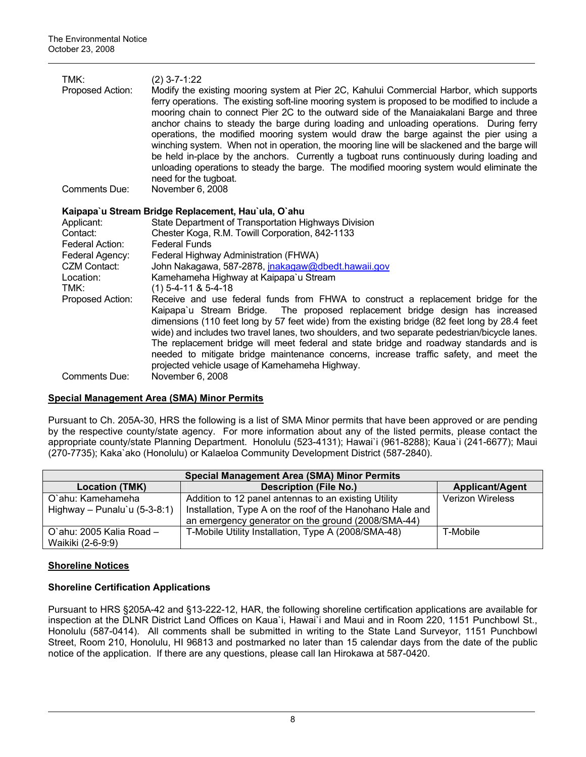| TMK:<br>Proposed Action:                                                                                 | $(2)$ 3-7-1:22<br>Modify the existing mooring system at Pier 2C, Kahului Commercial Harbor, which supports<br>ferry operations. The existing soft-line mooring system is proposed to be modified to include a<br>mooring chain to connect Pier 2C to the outward side of the Manaiakalani Barge and three<br>anchor chains to steady the barge during loading and unloading operations. During ferry<br>operations, the modified mooring system would draw the barge against the pier using a<br>winching system. When not in operation, the mooring line will be slackened and the barge will<br>be held in-place by the anchors. Currently a tugboat runs continuously during loading and<br>unloading operations to steady the barge. The modified mooring system would eliminate the<br>need for the tugboat. |
|----------------------------------------------------------------------------------------------------------|-------------------------------------------------------------------------------------------------------------------------------------------------------------------------------------------------------------------------------------------------------------------------------------------------------------------------------------------------------------------------------------------------------------------------------------------------------------------------------------------------------------------------------------------------------------------------------------------------------------------------------------------------------------------------------------------------------------------------------------------------------------------------------------------------------------------|
| Comments Due:                                                                                            | November 6, 2008                                                                                                                                                                                                                                                                                                                                                                                                                                                                                                                                                                                                                                                                                                                                                                                                  |
| Applicant:<br>Contact:<br>Federal Action:<br>Federal Agency:<br><b>CZM Contact:</b><br>Location:<br>TMK: | Kaipapa`u Stream Bridge Replacement, Hau`ula, O`ahu<br>State Department of Transportation Highways Division<br>Chester Koga, R.M. Towill Corporation, 842-1133<br><b>Federal Funds</b><br>Federal Highway Administration (FHWA)<br>John Nakagawa, 587-2878, <i>jnakagaw@dbedt.hawaii.gov</i><br>Kamehameha Highway at Kaipapa'u Stream<br>$(1)$ 5-4-11 & 5-4-18                                                                                                                                                                                                                                                                                                                                                                                                                                                   |
| Proposed Action:<br>Comments Due:                                                                        | Receive and use federal funds from FHWA to construct a replacement bridge for the<br>Kaipapa'u Stream Bridge. The proposed replacement bridge design has increased<br>dimensions (110 feet long by 57 feet wide) from the existing bridge (82 feet long by 28.4 feet<br>wide) and includes two travel lanes, two shoulders, and two separate pedestrian/bicycle lanes.<br>The replacement bridge will meet federal and state bridge and roadway standards and is<br>needed to mitigate bridge maintenance concerns, increase traffic safety, and meet the<br>projected vehicle usage of Kamehameha Highway.<br>November 6, 2008                                                                                                                                                                                   |
|                                                                                                          |                                                                                                                                                                                                                                                                                                                                                                                                                                                                                                                                                                                                                                                                                                                                                                                                                   |

## **Special Management Area (SMA) Minor Permits**

Pursuant to Ch. 205A-30, HRS the following is a list of SMA Minor permits that have been approved or are pending by the respective county/state agency. For more information about any of the listed permits, please contact the appropriate county/state Planning Department. Honolulu (523-4131); Hawai`i (961-8288); Kaua`i (241-6677); Maui (270-7735); Kaka`ako (Honolulu) or Kalaeloa Community Development District (587-2840).

| <b>Special Management Area (SMA) Minor Permits</b> |                                                           |                         |  |
|----------------------------------------------------|-----------------------------------------------------------|-------------------------|--|
| Location (TMK)                                     | <b>Description (File No.)</b>                             | <b>Applicant/Agent</b>  |  |
| O'ahu: Kamehameha                                  | Addition to 12 panel antennas to an existing Utility      | <b>Verizon Wireless</b> |  |
| Highway - Punalu'u $(5-3-8.1)$                     | Installation, Type A on the roof of the Hanohano Hale and |                         |  |
|                                                    | an emergency generator on the ground (2008/SMA-44)        |                         |  |
| O'ahu: 2005 Kalia Road $-$                         | T-Mobile Utility Installation, Type A (2008/SMA-48)       | T-Mobile                |  |
| Waikiki (2-6-9:9)                                  |                                                           |                         |  |

## **Shoreline Notices**

## **Shoreline Certification Applications**

Pursuant to HRS §205A-42 and §13-222-12, HAR, the following shoreline certification applications are available for inspection at the DLNR District Land Offices on Kaua`i, Hawai`i and Maui and in Room 220, 1151 Punchbowl St., Honolulu (587-0414). All comments shall be submitted in writing to the State Land Surveyor, 1151 Punchbowl Street, Room 210, Honolulu, HI 96813 and postmarked no later than 15 calendar days from the date of the public notice of the application. If there are any questions, please call Ian Hirokawa at 587-0420.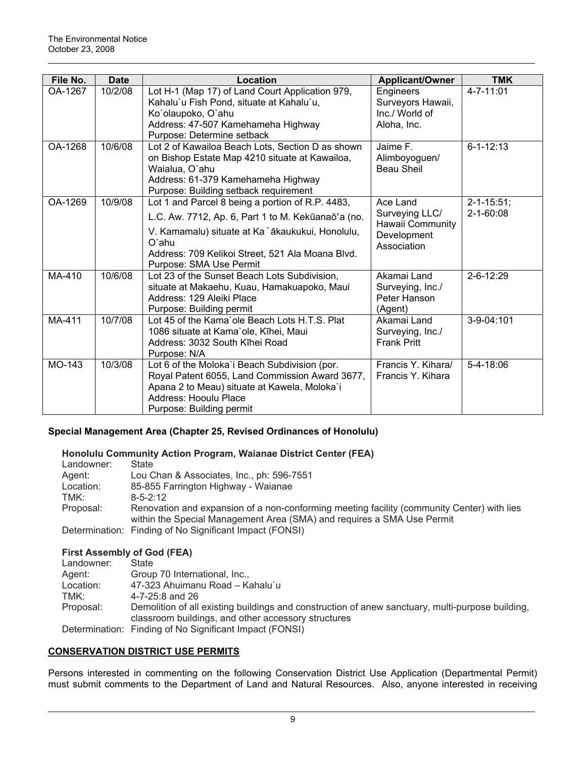| File No. | <b>Date</b> | Location                                                                                                                                                                                                               | <b>Applicant/Owner</b>                                                       | <b>TMK</b>                          |
|----------|-------------|------------------------------------------------------------------------------------------------------------------------------------------------------------------------------------------------------------------------|------------------------------------------------------------------------------|-------------------------------------|
| OA-1267  | 10/2/08     | Lot H-1 (Map 17) of Land Court Application 979,<br>Kahalu'u Fish Pond, situate at Kahalu'u,<br>Ko'olaupoko, O'ahu<br>Address: 47-507 Kamehameha Highway<br>Purpose: Determine setback                                  | Engineers<br>Surveyors Hawaii,<br>Inc./ World of<br>Aloha, Inc.              | 4-7-11:01                           |
| OA-1268  | 10/6/08     | Lot 2 of Kawailoa Beach Lots, Section D as shown<br>on Bishop Estate Map 4210 situate at Kawailoa,<br>Waialua, O'ahu<br>Address: 61-379 Kamehameha Highway<br>Purpose: Building setback requirement                    | Jaime F.<br>Alimboyoguen/<br><b>Beau Sheil</b>                               | $6 - 1 - 12:13$                     |
| OA-1269  | 10/9/08     | Lot 1 and Parcel 8 being a portion of R.P. 4483,<br>L.C. Aw. 7712, Ap. 6, Part 1 to M. Kekūanaō'a (no.<br>V. Kamamalu) situate at Ka`ākaukukui, Honolulu,<br>O'ahu<br>Address: 709 Kelikoi Street, 521 Ala Moana Blvd. | Ace Land<br>Surveying LLC/<br>Hawaii Community<br>Development<br>Association | $2 - 1 - 15:51;$<br>$2 - 1 - 60:08$ |
| MA-410   | 10/6/08     | Purpose: SMA Use Permit<br>Lot 23 of the Sunset Beach Lots Subdivision,<br>situate at Makaehu, Kuau, Hamakuapoko, Maui<br>Address: 129 Aleiki Place<br>Purpose: Building permit                                        | Akamai Land<br>Surveying, Inc./<br>Peter Hanson<br>(Agent)                   | $2 - 6 - 12:29$                     |
| MA-411   | 10/7/08     | Lot 45 of the Kama'ole Beach Lots H.T.S. Plat<br>1086 situate at Kama'ole, Kīhei, Maui<br>Address: 3032 South Kihei Road<br>Purpose: N/A                                                                               | Akamai Land<br>Surveying, Inc./<br><b>Frank Pritt</b>                        | 3-9-04:101                          |
| MO-143   | 10/3/08     | Lot 6 of the Moloka'i Beach Subdivision (por.<br>Royal Patent 6055, Land Commission Award 3677,<br>Apana 2 to Meau) situate at Kawela, Moloka'i<br>Address: Hooulu Place<br>Purpose: Building permit                   | Francis Y. Kihara/<br>Francis Y. Kihara                                      | 5-4-18:06                           |

## **Special Management Area (Chapter 25, Revised Ordinances of Honolulu)**

**Honolulu Community Action Program, Waianae District Center (FEA)** 

| Landowner:                  | State                                                                                                                                                                |  |  |
|-----------------------------|----------------------------------------------------------------------------------------------------------------------------------------------------------------------|--|--|
| Agent:                      | Lou Chan & Associates, Inc., ph: 596-7551                                                                                                                            |  |  |
| Location:                   | 85-855 Farrington Highway - Waianae                                                                                                                                  |  |  |
| TMK:                        | $8 - 5 - 2:12$                                                                                                                                                       |  |  |
| Proposal:                   | Renovation and expansion of a non-conforming meeting facility (community Center) with lies<br>within the Special Management Area (SMA) and requires a SMA Use Permit |  |  |
|                             | Determination: Finding of No Significant Impact (FONSI)                                                                                                              |  |  |
| First Assembly of God (FFA) |                                                                                                                                                                      |  |  |

## **First Assembly of God (FEA)**

| Landowner: | State                                                                                                                                                   |
|------------|---------------------------------------------------------------------------------------------------------------------------------------------------------|
| Agent:     | Group 70 International, Inc.,                                                                                                                           |
| Location:  | 47-323 Ahuimanu Road - Kahalu'u                                                                                                                         |
| TMK:       | 4-7-25:8 and 26                                                                                                                                         |
| Proposal:  | Demolition of all existing buildings and construction of anew sanctuary, multi-purpose building,<br>classroom buildings, and other accessory structures |
|            | Determination: Finding of No Significant Impact (FONSI)                                                                                                 |

## **CONSERVATION DISTRICT USE PERMITS**

Persons interested in commenting on the following Conservation District Use Application (Departmental Permit) must submit comments to the Department of Land and Natural Resources. Also, anyone interested in receiving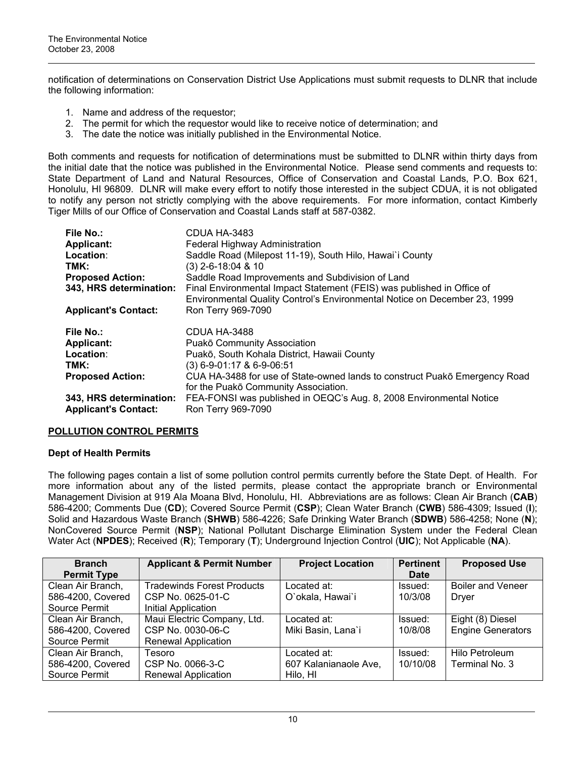notification of determinations on Conservation District Use Applications must submit requests to DLNR that include the following information:

- 1. Name and address of the requestor;
- 2. The permit for which the requestor would like to receive notice of determination; and
- 3. The date the notice was initially published in the Environmental Notice.

Both comments and requests for notification of determinations must be submitted to DLNR within thirty days from the initial date that the notice was published in the Environmental Notice. Please send comments and requests to: State Department of Land and Natural Resources, Office of Conservation and Coastal Lands, P.O. Box 621, Honolulu, HI 96809. DLNR will make every effort to notify those interested in the subject CDUA, it is not obligated to notify any person not strictly complying with the above requirements. For more information, contact Kimberly Tiger Mills of our Office of Conservation and Coastal Lands staff at 587-0382.

| File No.:                   | CDUA HA-3483                                                               |
|-----------------------------|----------------------------------------------------------------------------|
| <b>Applicant:</b>           | Federal Highway Administration                                             |
| Location:                   | Saddle Road (Milepost 11-19), South Hilo, Hawai'i County                   |
| TMK:                        | $(3)$ 2-6-18:04 & 10                                                       |
| <b>Proposed Action:</b>     | Saddle Road Improvements and Subdivision of Land                           |
| 343, HRS determination:     | Final Environmental Impact Statement (FEIS) was published in Office of     |
|                             | Environmental Quality Control's Environmental Notice on December 23, 1999  |
| <b>Applicant's Contact:</b> | Ron Terry 969-7090                                                         |
|                             |                                                                            |
| <b>File No.:</b>            | CDUA HA-3488                                                               |
| <b>Applicant:</b>           | Puakō Community Association                                                |
| Location:                   | Puakō, South Kohala District, Hawaii County                                |
| TMK:                        | $(3)$ 6-9-01:17 & 6-9-06:51                                                |
| <b>Proposed Action:</b>     | CUA HA-3488 for use of State-owned lands to construct Puakō Emergency Road |
|                             | for the Puakō Community Association.                                       |
| 343, HRS determination:     | FEA-FONSI was published in OEQC's Aug. 8, 2008 Environmental Notice        |

## **POLLUTION CONTROL PERMITS**

## **Dept of Health Permits**

The following pages contain a list of some pollution control permits currently before the State Dept. of Health. For more information about any of the listed permits, please contact the appropriate branch or Environmental Management Division at 919 Ala Moana Blvd, Honolulu, HI. Abbreviations are as follows: Clean Air Branch (**CAB**) 586-4200; Comments Due (**CD**); Covered Source Permit (**CSP**); Clean Water Branch (**CWB**) 586-4309; Issued (**I**); Solid and Hazardous Waste Branch (**SHWB**) 586-4226; Safe Drinking Water Branch (**SDWB**) 586-4258; None (**N**); NonCovered Source Permit (**NSP**); National Pollutant Discharge Elimination System under the Federal Clean Water Act (**NPDES**); Received (**R**); Temporary (**T**); Underground Injection Control (**UIC**); Not Applicable (**NA**).

| <b>Branch</b>      | <b>Applicant &amp; Permit Number</b> | <b>Project Location</b> | <b>Pertinent</b> | <b>Proposed Use</b>      |
|--------------------|--------------------------------------|-------------------------|------------------|--------------------------|
| <b>Permit Type</b> |                                      |                         | <b>Date</b>      |                          |
| Clean Air Branch,  | <b>Tradewinds Forest Products</b>    | Located at:             | Issued:          | <b>Boiler and Veneer</b> |
| 586-4200, Covered  | CSP No. 0625-01-C                    | O'okala, Hawai'i        | 10/3/08          | Dryer                    |
| Source Permit      | Initial Application                  |                         |                  |                          |
| Clean Air Branch,  | Maui Electric Company, Ltd.          | Located at:             | Issued:          | Eight (8) Diesel         |
| 586-4200, Covered  | CSP No. 0030-06-C                    | Miki Basin, Lana`i      | 10/8/08          | <b>Engine Generators</b> |
| Source Permit      | <b>Renewal Application</b>           |                         |                  |                          |
| Clean Air Branch,  | Tesoro                               | Located at:             | Issued:          | Hilo Petroleum           |
| 586-4200, Covered  | CSP No. 0066-3-C                     | 607 Kalanianaole Ave,   | 10/10/08         | Terminal No. 3           |
| Source Permit      | <b>Renewal Application</b>           | Hilo, HI                |                  |                          |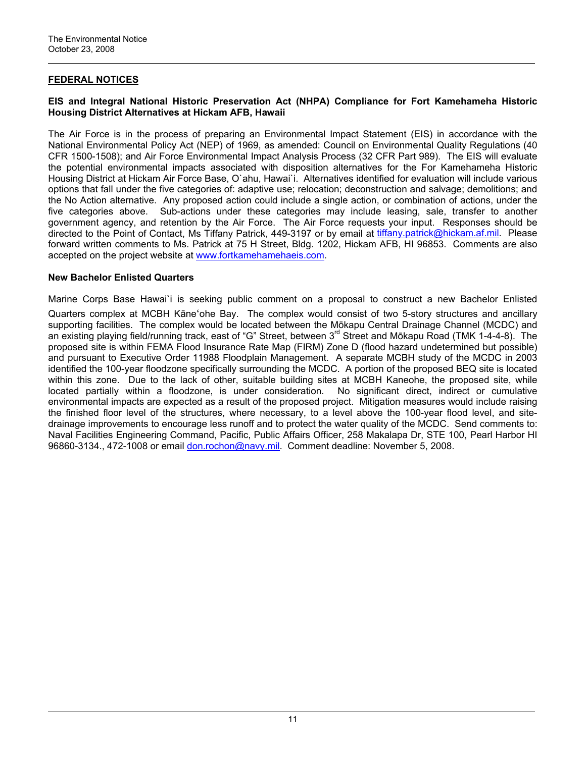## **FEDERAL NOTICES**

## **EIS and Integral National Historic Preservation Act (NHPA) Compliance for Fort Kamehameha Historic Housing District Alternatives at Hickam AFB, Hawaii**

The Air Force is in the process of preparing an Environmental Impact Statement (EIS) in accordance with the National Environmental Policy Act (NEP) of 1969, as amended: Council on Environmental Quality Regulations (40 CFR 1500-1508); and Air Force Environmental Impact Analysis Process (32 CFR Part 989). The EIS will evaluate the potential environmental impacts associated with disposition alternatives for the For Kamehameha Historic Housing District at Hickam Air Force Base, O`ahu, Hawai`i. Alternatives identified for evaluation will include various options that fall under the five categories of: adaptive use; relocation; deconstruction and salvage; demolitions; and the No Action alternative. Any proposed action could include a single action, or combination of actions, under the five categories above. Sub-actions under these categories may include leasing, sale, transfer to another government agency, and retention by the Air Force. The Air Force requests your input. Responses should be directed to the Point of Contact, Ms Tiffany Patrick, 449-3197 or by email at [tiffany.patrick@hickam.af.mil.](mailto:tiffany.patrick@hickam.af.mil) Please forward written comments to Ms. Patrick at 75 H Street, Bldg. 1202, Hickam AFB, HI 96853. Comments are also accepted on the project website at [www.fortkamehamehaeis.com.](http://www.fortkamehamehaeis.com/)

#### **New Bachelor Enlisted Quarters**

Marine Corps Base Hawai`i is seeking public comment on a proposal to construct a new Bachelor Enlisted

Quarters complex at MCBH Kāneʻohe Bay. The complex would consist of two 5-story structures and ancillary supporting facilities. The complex would be located between the Mōkapu Central Drainage Channel (MCDC) and an existing playing field/running track, east of "G" Street, between 3<sup>rd</sup> Street and Mōkapu Road (TMK 1-4-4-8). The proposed site is within FEMA Flood Insurance Rate Map (FIRM) Zone D (flood hazard undetermined but possible) and pursuant to Executive Order 11988 Floodplain Management. A separate MCBH study of the MCDC in 2003 identified the 100-year floodzone specifically surrounding the MCDC. A portion of the proposed BEQ site is located within this zone. Due to the lack of other, suitable building sites at MCBH Kaneohe, the proposed site, while located partially within a floodzone, is under consideration. No significant direct, indirect or cumulative environmental impacts are expected as a result of the proposed project. Mitigation measures would include raising the finished floor level of the structures, where necessary, to a level above the 100-year flood level, and sitedrainage improvements to encourage less runoff and to protect the water quality of the MCDC. Send comments to: Naval Facilities Engineering Command, Pacific, Public Affairs Officer, 258 Makalapa Dr, STE 100, Pearl Harbor HI 96860-3134., 472-1008 or email [don.rochon@navy.mil](mailto:don.rochon@navy.mil). Comment deadline: November 5, 2008.